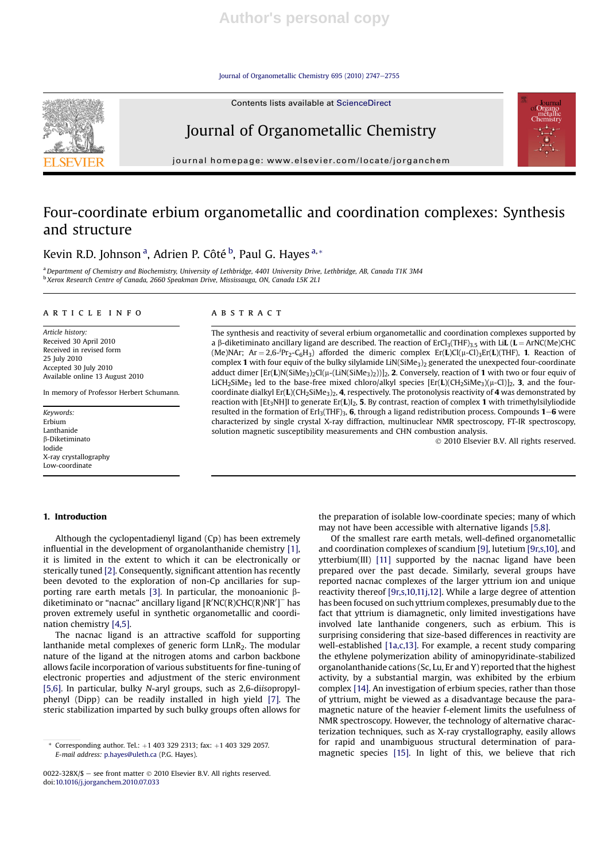Journal of Organometallic Chemistry 695 (2010)  $2747-2755$ 







journal homepage: www.elsevier.com/locate/jorganchem

# Four-coordinate erbium organometallic and coordination complexes: Synthesis and structure

# Kevin R.D. Johnson<sup>a</sup>, Adrien P. Côté <sup>b</sup>, Paul G. Hayes <sup>a,</sup>\*

<sup>a</sup> Department of Chemistry and Biochemistry, University of Lethbridge, 4401 University Drive, Lethbridge, AB, Canada T1K 3M4 <sup>b</sup> Xerox Research Centre of Canada, 2660 Speakman Drive, Mississauga, ON, Canada L5K 2L1

# article info

Article history: Received 30 April 2010 Received in revised form 25 July 2010 Accepted 30 July 2010 Available online 13 August 2010

In memory of Professor Herbert Schumann.

Keywords: Erbium Lanthanide b-Diketiminato Iodide X-ray crystallography Low-coordinate

# 1. Introduction

Although the cyclopentadienyl ligand (Cp) has been extremely influential in the development of organolanthanide chemistry [1], it is limited in the extent to which it can be electronically or sterically tuned [2]. Consequently, significant attention has recently been devoted to the exploration of non-Cp ancillaries for supporting rare earth metals [3]. In particular, the monoanionic  $\beta$ -.<br>diketiminato or "nacnac" ancillary ligand [R'NC(R)CHC(R)NR']<sup>–</sup> has proven extremely useful in synthetic organometallic and coordination chemistry [4,5].

The nacnac ligand is an attractive scaffold for supporting lanthanide metal complexes of generic form LLnR<sub>2</sub>. The modular nature of the ligand at the nitrogen atoms and carbon backbone allows facile incorporation of various substituents for fine-tuning of electronic properties and adjustment of the steric environment [5,6]. In particular, bulky N-aryl groups, such as 2,6-diisopropylphenyl (Dipp) can be readily installed in high yield [7]. The steric stabilization imparted by such bulky groups often allows for

# A B S T R A C T

The synthesis and reactivity of several erbium organometallic and coordination complexes supported by a  $\beta$ -diketiminato ancillary ligand are described. The reaction of ErCl<sub>3</sub>(THF)<sub>3.5</sub> with LiL (L = ArNC(Me)CHC (Me)NAr;  $Ar = 2.6$ -<sup>i</sup>Pr<sub>2</sub>-C<sub>6</sub>H<sub>3</sub>) afforded the dimeric complex  $Er(L)Cl(\mu-Cl)_{3}Er(L)(THF)$ , **1.** Reaction of complex 1 with four equiv of the bulky silylamide LiN(SiMe<sub>3</sub>)<sub>2</sub> generated the unexpected four-coordinate adduct dimer [Er(L)N(SiMe<sub>3</sub>)<sub>2</sub>Cl(µ-(LiN(SiMe<sub>3</sub>)<sub>2</sub>))]<sub>2</sub>, 2. Conversely, reaction of 1 with two or four equiv of LiCH<sub>2</sub>SiMe<sub>3</sub> led to the base-free mixed chloro/alkyl species [Er(L)(CH<sub>2</sub>SiMe<sub>3</sub>)( $\mu$ -Cl)]<sub>2</sub>, **3**, and the fourcoordinate dialkyl Er(L)(CH<sub>2</sub>SiMe<sub>3</sub>)<sub>2</sub>, **4**, respectively. The protonolysis reactivity of **4** was demonstrated by reaction with  $[Et_3NH]$ I to generate  $Er(L)I_2$ , 5. By contrast, reaction of complex 1 with trimethylsilyliodide resulted in the formation of ErI<sub>3</sub>(THF)<sub>3</sub>, **6**, through a ligand redistribution process. Compounds  $1-6$  were characterized by single crystal X-ray diffraction, multinuclear NMR spectroscopy, FT-IR spectroscopy, solution magnetic susceptibility measurements and CHN combustion analysis.

2010 Elsevier B.V. All rights reserved.

the preparation of isolable low-coordinate species; many of which may not have been accessible with alternative ligands [5,8].

Of the smallest rare earth metals, well-defined organometallic and coordination complexes of scandium [9], lutetium [9r,s,10], and ytterbium(III) [11] supported by the nacnac ligand have been prepared over the past decade. Similarly, several groups have reported nacnac complexes of the larger yttrium ion and unique reactivity thereof [9r,s,10,11j,12]. While a large degree of attention has been focused on such yttrium complexes, presumably due to the fact that yttrium is diamagnetic, only limited investigations have involved late lanthanide congeners, such as erbium. This is surprising considering that size-based differences in reactivity are well-established [1a,c,13]. For example, a recent study comparing the ethylene polymerization ability of aminopyridinate-stabilized organolanthanide cations (Sc, Lu, Er and Y) reported that the highest activity, by a substantial margin, was exhibited by the erbium complex [14]. An investigation of erbium species, rather than those of yttrium, might be viewed as a disadvantage because the paramagnetic nature of the heavier f-element limits the usefulness of NMR spectroscopy. However, the technology of alternative characterization techniques, such as X-ray crystallography, easily allows for rapid and unambiguous structural determination of parafor rapid and unambiguous structural determination or para-<br>E-mail address: p.hayes@uleth.ca (P.G. Hayes).<br>magnetic species [15]. In light of this, we believe that rich \*

E-mail address: p.hayes@uleth.ca (P.G. Hayes).

<sup>0022-328</sup>X/\$ - see front matter  $\odot$  2010 Elsevier B.V. All rights reserved. doi:10.1016/j.jorganchem.2010.07.033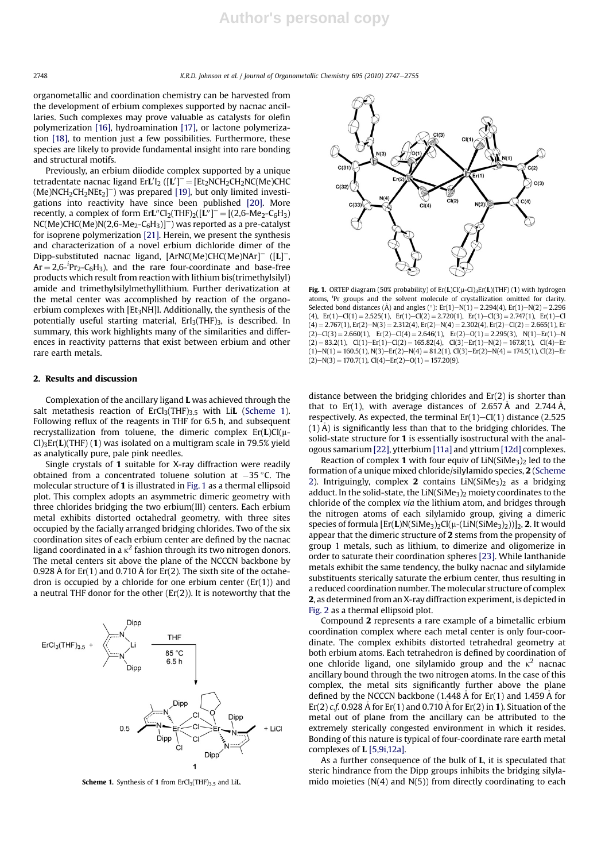organometallic and coordination chemistry can be harvested from the development of erbium complexes supported by nacnac ancillaries. Such complexes may prove valuable as catalysts for olefin polymerization [16], hydroamination [17], or lactone polymerization [18], to mention just a few possibilities. Furthermore, these species are likely to provide fundamental insight into rare bonding and structural motifs.

Previously, an erbium diiodide complex supported by a unique tetradentate nacnac ligand  $ErL'I_2$  ( $[L']^{-} = [Et_2NCH_2CH_2NC(Me)CHC]$  $(Me)NCH_2CH_2Net_2]$ ) was prepared [19], but only limited investigations into reactivity have since been published [20]. More recently, a complex of form  $Erl''Cl_2(THF)_2([L'']^- = [(2,6-Me_2-C_6H_3)$  $NC(Me)CHC(Me)N(2,6-Me<sub>2</sub>-C<sub>6</sub>H<sub>3</sub>)$ <sup>-</sup>) was reported as a pre-catalyst for isoprene polymerization [21]. Herein, we present the synthesis and characterization of a novel erbium dichloride dimer of the Dipp-substituted nacnac ligand,  $[ArNC(Me)CHC(Me)NAr]^ ([L]^-$ ,  $Ar = 2.6$ -<sup>1</sup> $Pr_2$ -C<sub>6</sub>H<sub>3</sub>), and the rare four-coordinate and base-free products which result from reaction with lithium bis(trimethylsilyl) amide and trimethylsilylmethyllithium. Further derivatization at the metal center was accomplished by reaction of the organoerbium complexes with [Et3NH]I. Additionally, the synthesis of the potentially useful starting material, ErI<sub>3</sub>(THF)<sub>3</sub>, is described. In summary, this work highlights many of the similarities and differences in reactivity patterns that exist between erbium and other rare earth metals.

# 2. Results and discussion

Complexation of the ancillary ligand L was achieved through the salt metathesis reaction of  $ErCl<sub>3</sub>(THF)<sub>3.5</sub>$  with LiL (Scheme 1). Following reflux of the reagents in THF for 6.5 h, and subsequent recrystallization from toluene, the dimeric complex  $Er(L)Cl(\mu Cl$ <sub>3</sub>Er(**L**)(THF) (1) was isolated on a multigram scale in 79.5% yield as analytically pure, pale pink needles.

Single crystals of 1 suitable for X-ray diffraction were readily obtained from a concentrated toluene solution at  $-35$  °C. The molecular structure of 1 is illustrated in Fig. 1 as a thermal ellipsoid plot. This complex adopts an asymmetric dimeric geometry with three chlorides bridging the two erbium(III) centers. Each erbium metal exhibits distorted octahedral geometry, with three sites occupied by the facially arranged bridging chlorides. Two of the six coordination sites of each erbium center are defined by the nacnac ligand coordinated in a  $\kappa^2$  fashion through its two nitrogen donors. The metal centers sit above the plane of the NCCCN backbone by 0.928 Å for  $Er(1)$  and 0.710 Å for  $Er(2)$ . The sixth site of the octahedron is occupied by a chloride for one erbium center  $(Er(1))$  and a neutral THF donor for the other  $(Er(2))$ . It is noteworthy that the





Fig. 1. ORTEP diagram (50% probability) of  $Er(L)Cl(\mu-Cl)_3Er(L)(THF)$  (1) with hydrogen atoms, <sup>i</sup>Pr groups and the solvent molecule of crystallization omitted for clarity. Selected bond distances ( $\AA$ ) and angles (°): Er(1)–N(1) = 2.294(4), Er(1)–N(2) = 2.296 (4),  $\text{Er}(1)-\text{Cl}(1) = 2.525(1)$ ,  $\text{Er}(1)-\text{Cl}(2) = 2.720(1)$ ,  $\text{Er}(1)-\text{Cl}(3) = 2.747(1)$ ,  $\text{Er}(1)-\text{Cl}(4)$  $(4) = 2.767(1)$ , Er(2)-N(3) = 2.312(4), Er(2)-N(4) = 2.302(4), Er(2)-Cl(2) = 2.665(1), Er  $E(C) - C(3) = 2.660(1), \quad E(C) - C(4) = 2.646(1), \quad E(C) - O(1) = 2.295(3), \quad N(1) - E(C) = 2.660(1),$  $(2) = 83.2(1), C[(1)-Er(1)-C[(2) = 165.82(4), C[(3)-Er(1)-N(2) = 167.8(1), C[(4)-Er(1)-N(2)]$  $(1)-N(1) = 160.5(1)$ ,  $N(3)-Er(2)-N(4) = 81.2(1)$ ,  $Cl(3)-Er(2)-N(4) = 174.5(1)$ ,  $Cl(2)-Er$  $(2)-N(3) = 170.7(1), Cl(4)-Er(2)-O(1) = 157.20(9).$ 

distance between the bridging chlorides and Er(2) is shorter than that to Er(1), with average distances of 2.657  $\AA$  and 2.744  $\AA$ respectively. As expected, the terminal  $Er(1)-Cl(1)$  distance (2.525  $(1)$   $A$ ) is significantly less than that to the bridging chlorides. The solid-state structure for 1 is essentially isostructural with the analogous samarium [22], ytterbium [11a] and yttrium [12d] complexes.

Reaction of complex 1 with four equiv of  $LiN(SiMe<sub>3</sub>)<sub>2</sub>$  led to the formation of a unique mixed chloride/silylamido species, 2 (Scheme 2). Intriguingly, complex **2** contains  $LiN(SiMe<sub>3</sub>)<sub>2</sub>$  as a bridging adduct. In the solid-state, the LiN(SiMe<sub>3</sub>)<sub>2</sub> moiety coordinates to the chloride of the complex via the lithium atom, and bridges through the nitrogen atoms of each silylamido group, giving a dimeric species of formula  $[Er(L)N(SiMe<sub>3</sub>)<sub>2</sub>Cl(\mu-(LiN(SiMe<sub>3</sub>)<sub>2</sub>))]<sub>2</sub>$ , 2. It would appear that the dimeric structure of 2 stems from the propensity of group 1 metals, such as lithium, to dimerize and oligomerize in order to saturate their coordination spheres [23]. While lanthanide metals exhibit the same tendency, the bulky nacnac and silylamide substituents sterically saturate the erbium center, thus resulting in a reduced coordination number. The molecular structure of complex 2, as determined from an X-ray diffraction experiment, is depicted in Fig. 2 as a thermal ellipsoid plot.

Compound 2 represents a rare example of a bimetallic erbium coordination complex where each metal center is only four-coordinate. The complex exhibits distorted tetrahedral geometry at both erbium atoms. Each tetrahedron is defined by coordination of one chloride ligand, one silylamido group and the  $\kappa^2$  nacnac ancillary bound through the two nitrogen atoms. In the case of this complex, the metal sits significantly further above the plane defined by the NCCCN backbone (1.448  $\AA$  for Er(1) and 1.459  $\AA$  for Er(2) c.f. 0.928 Å for Er(1) and 0.710 Å for Er(2) in 1). Situation of the metal out of plane from the ancillary can be attributed to the extremely sterically congested environment in which it resides. Bonding of this nature is typical of four-coordinate rare earth metal complexes of L [5,9i,12a].

As a further consequence of the bulk of L, it is speculated that steric hindrance from the Dipp groups inhibits the bridging silyla-Scheme 1. Synthesis of 1 from ErCl<sub>3</sub>(THF)<sub>3.5</sub> and LiL. mido moieties (N(4) and N(5)) from directly coordinating to each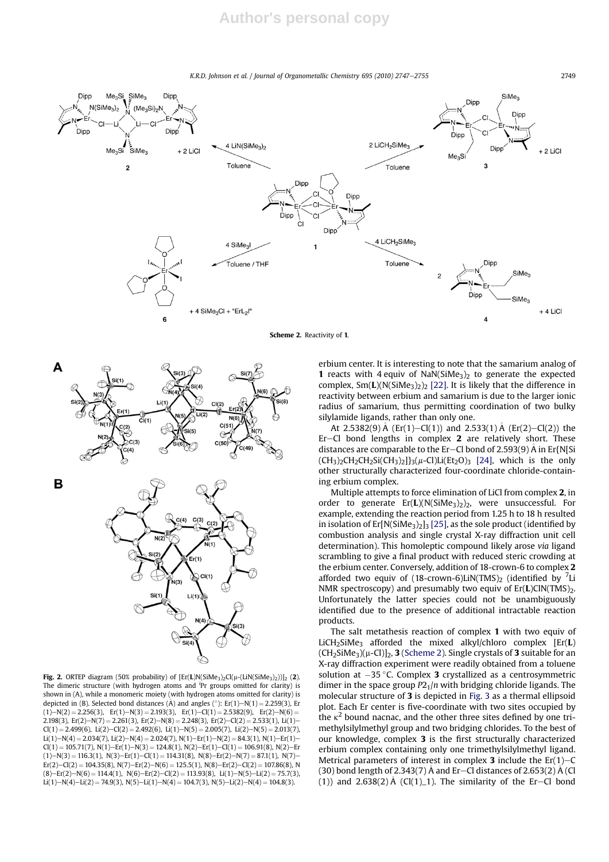K.R.D. Johnson et al. *J* Journal of Organometallic Chemistry 695 (2010) 2747–2755 2749



Scheme 2. Reactivity of 1.



Fig. 2. ORTEP diagram (50% probability) of  $[Er(L)N(SiMe<sub>3</sub>)<sub>2</sub>Cl(\mu-(LiN(SiMe<sub>3</sub>)<sub>2</sub>))]<sub>2</sub>$  (2). The dimeric structure (with hydrogen atoms and <sup>i</sup>Pr groups omitted for clarity) is shown in (A), while a monomeric moiety (with hydrogen atoms omitted for clarity) is depicted in (B). Selected bond distances ( $\AA$ ) and angles ( $\degree$ ): Er(1)–N(1) = 2.259(3), Er  $(1)-N(2) = 2.256(3)$ ,  $Er(1)-N(3) = 2.193(3)$ ,  $Er(1)-Cl(1) = 2.5382(9)$ ,  $Er(2)-N(6) =$ 2.198(3), Er(2)-N(7) = 2.261(3), Er(2)-N(8) = 2.248(3), Er(2)-Cl(2) = 2.533(1), Li(1)- $Cl(1) = 2.499(6)$ , Li(2)- $Cl(2) = 2.492(6)$ , Li(1)- $N(5) = 2.005(7)$ , Li(2)- $N(5) = 2.013(7)$ , Li(1)-N(4) = 2.034(7), Li(2)-N(4) = 2.024(7), N(1)-Er(1)-N(2) = 84.3(1), N(1)-Er(1)- $Cl(1) = 105.71(7)$ ,  $N(1) - Er(1) - N(3) = 124.8(1)$ ,  $N(2) - Er(1) - Cl(1) = 106.91(8)$ ,  $N(2) - Er$  $(1)-N(3) = 116.3(1), N(3)-Er(1)-Cl(1) = 114.31(8), N(8)-Er(2)-N(7) = 87.1(1), N(7) \text{Er}(2)-\text{Cl}(2) = 104.35(8), \text{ N}(7)-\text{Er}(2)-\text{N}(6) = 125.5(1), \text{ N}(8)-\text{Er}(2)-\text{Cl}(2) = 107.86(8).$  N  $(8)$ -Er(2)-N(6) = 114.4(1), N(6)-Er(2)-Cl(2) = 113.93(8), Li(1)-N(5)-Li(2) = 75.7(3), Li(1)-N(4)-Li(2) = 74.9(3), N(5)-Li(1)-N(4) = 104.7(3), N(5)-Li(2)-N(4) = 104.8(3).

erbium center. It is interesting to note that the samarium analog of 1 reacts with 4 equiv of  $\text{NaN}( \text{SiM} \text{e}_3)_2$  to generate the expected complex,  $Sm(L)(N(SiMe<sub>3</sub>)<sub>2</sub>)<sub>2</sub>$  [22]. It is likely that the difference in reactivity between erbium and samarium is due to the larger ionic radius of samarium, thus permitting coordination of two bulky silylamide ligands, rather than only one.

At 2.5382(9) Å (Er(1)–Cl(1)) and 2.533(1) Å (Er(2)–Cl(2)) the Er-Cl bond lengths in complex  $2$  are relatively short. These distances are comparable to the Er-Cl bond of 2.593(9)  $\AA$  in Er{N[Si  $(CH_3)_2CH_2CH_2Si(CH_3)_2]\}3(\mu\text{-}Cl)Li(Et_2O)_3$  [24], which is the only other structurally characterized four-coordinate chloride-containing erbium complex.

Multiple attempts to force elimination of LiCl from complex 2, in order to generate  $Er(L)(N(SiMe<sub>3</sub>)<sub>2</sub>)<sub>2</sub>$ , were unsuccessful. For example, extending the reaction period from 1.25 h to 18 h resulted in isolation of  $Er[N(SiMe<sub>3</sub>)<sub>2</sub>]$ <sub>3</sub> [25], as the sole product (identified by combustion analysis and single crystal X-ray diffraction unit cell determination). This homoleptic compound likely arose via ligand scrambling to give a final product with reduced steric crowding at the erbium center. Conversely, addition of 18-crown-6 to complex 2 afforded two equiv of  $(18$ -crown-6)LiN(TMS)<sub>2</sub> (identified by <sup>7</sup>Li NMR spectroscopy) and presumably two equiv of  $Er(L)CIN(TMS)_{2}$ . Unfortunately the latter species could not be unambiguously identified due to the presence of additional intractable reaction products.

The salt metathesis reaction of complex 1 with two equiv of LiCH<sub>2</sub>SiMe<sub>3</sub> afforded the mixed alkyl/chloro complex [Er(L)  $(CH_2SiMe_3)(\mu$ -Cl)]<sub>2</sub>, **3** (Scheme 2). Single crystals of **3** suitable for an X-ray diffraction experiment were readily obtained from a toluene solution at  $-35$  °C. Complex **3** crystallized as a centrosymmetric dimer in the space group  $P2<sub>1</sub>/n$  with bridging chloride ligands. The molecular structure of 3 is depicted in Fig. 3 as a thermal ellipsoid plot. Each Er center is five-coordinate with two sites occupied by the  $\kappa^2$  bound nacnac, and the other three sites defined by one trimethylsilylmethyl group and two bridging chlorides. To the best of our knowledge, complex 3 is the first structurally characterized erbium complex containing only one trimethylsilylmethyl ligand. Metrical parameters of interest in complex **3** include the  $Er(1)-C$ (30) bond length of 2.343(7)  $\AA$  and Er–Cl distances of 2.653(2)  $\AA$  (Cl (1)) and 2.638(2)  $\AA$  (Cl(1)\_1). The similarity of the Er-Cl bond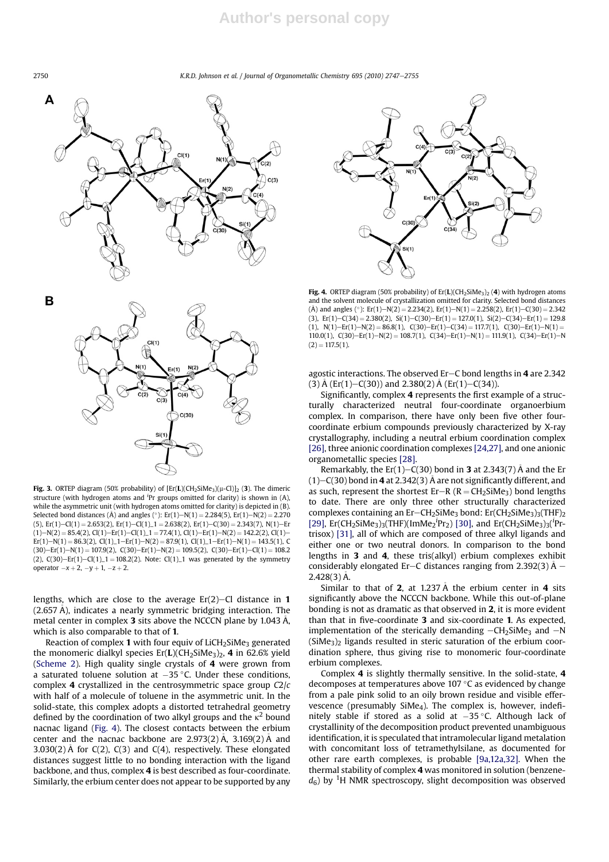2750 K.R.D. Johnson et al. / Journal of Organometallic Chemistry 695 (2010) 2747–2755



Fig. 3. ORTEP diagram (50% probability) of  $\text{[Er(L)(CH}_2\text{SiMe}_3)(\mu\text{-Cl})\text{]}_2$  (3). The dimeric structure (with hydrogen atoms and  ${}^{i}$ Pr groups omitted for clarity) is shown in (A), while the asymmetric unit (with hydrogen atoms omitted for clarity) is depicted in (B). Selected bond distances ( $\AA$ ) and angles ( $\circ$ ): Er(1)–N(1) = 2.284(5), Er(1)–N(2) = 2.270 (5),  $\text{Er}(1)-\text{Cl}(1) = 2.653(2)$ ,  $\text{Er}(1)-\text{Cl}(1)$ <sub>-1</sub> = 2.638(2),  $\text{Er}(1)-\text{C}(30) = 2.343(7)$ , N(1)-Er (1)-N(2) = 85.4(2), Cl(1)-Er(1)-Cl(1)\_1 = 77.4(1), Cl(1)-Er(1)-N(2) = 142.2(2), Cl(1)- $Er(1)-N(1) = 86.3(2), Cl(1)_{1}-Er(1)-N(2) = 87.9(1), Cl(1)_{1}-Er(1)-N(1) = 143.5(1), Cl(1)_{2}-R(1) = 143.5(1)$  $(30)$ -Er(1)-N(1) = 107.9(2), C(30)-Er(1)-N(2) = 109.5(2), C(30)-Er(1)-Cl(1) = 108.2 (2),  $C(30) - Er(1) - CI(1) - 1 = 108.2(2)$ . Note:  $CI(1) - 1$  was generated by the symmetry operator  $-x+2$ ,  $-y+1$ ,  $-z+2$ .

lengths, which are close to the average  $Er(2)$ –Cl distance in 1  $(2.657 \text{ Å})$ , indicates a nearly symmetric bridging interaction. The metal center in complex  $3$  sits above the NCCCN plane by 1.043 Å, which is also comparable to that of 1.

Reaction of complex 1 with four equiv of  $LiCH<sub>2</sub>SiMe<sub>3</sub>$  generated the monomeric dialkyl species  $Er(L)(CH_2SiMe_3)_2$ , 4 in 62.6% yield (Scheme 2). High quality single crystals of 4 were grown from a saturated toluene solution at  $-35$  °C. Under these conditions, complex **4** crystallized in the centrosymmetric space group  $C2/c$ with half of a molecule of toluene in the asymmetric unit. In the solid-state, this complex adopts a distorted tetrahedral geometry defined by the coordination of two alkyl groups and the  $\kappa^2$  bound nacnac ligand (Fig. 4). The closest contacts between the erbium center and the nacnac backbone are  $2.973(2)$  Å,  $3.169(2)$  Å and  $3.030(2)$  Å for C(2), C(3) and C(4), respectively. These elongated distances suggest little to no bonding interaction with the ligand backbone, and thus, complex 4 is best described as four-coordinate. Similarly, the erbium center does not appear to be supported by any



Fig. 4. ORTEP diagram (50% probability) of  $Er(L)(CH_2SiMe<sub>3</sub>)<sub>2</sub>$  (4) with hydrogen atoms and the solvent molecule of crystallization omitted for clarity. Selected bond distances (Å) and angles (°):  $Er(1)-N(2) = 2.234(2)$ ,  $Er(1)-N(1) = 2.258(2)$ ,  $Er(1)-C(30) = 2.342$ (3),  $\text{Er}(1)-\text{C}(34) = 2.380(2)$ ,  $\text{Si}(1)-\text{C}(30)-\text{Er}(1) = 127.0(1)$ ,  $\text{Si}(2)-\text{C}(34)-\text{Er}(1) = 129.8$ (1),  $N(1) - Er(1) - N(2) = 86.8(1)$ ,  $C(30) - Er(1) - C(34) = 117.7(1)$ ,  $C(30) - Er(1) - N(1) =$ 110.0(1),  $C(30) - Er(1) - N(2) = 108.7(1)$ ,  $C(34) - Er(1) - N(1) = 111.9(1)$ ,  $C(34) - Er(1) - N$  $(2) = 117.5(1)$ 

agostic interactions. The observed Er–C bond lengths in  $4$  are 2.342  $(3)$  Å (Er(1)–C(30)) and 2.380(2) Å (Er(1)–C(34)).

Significantly, complex 4 represents the first example of a structurally characterized neutral four-coordinate organoerbium complex. In comparison, there have only been five other fourcoordinate erbium compounds previously characterized by X-ray crystallography, including a neutral erbium coordination complex [26], three anionic coordination complexes [24,27], and one anionic organometallic species [28].

Remarkably, the Er(1)–C(30) bond in 3 at 2.343(7)  $\AA$  and the Er  $(1)$ –C(30) bond in 4 at 2.342(3)  $\AA$  are not significantly different, and as such, represent the shortest Er–R ( $R = CH_2SiMe_3$ ) bond lengths to date. There are only three other structurally characterized complexes containing an Er-CH<sub>2</sub>SiMe<sub>3</sub> bond: Er(CH<sub>2</sub>SiMe<sub>3</sub>)<sub>3</sub>(THF)<sub>2</sub> [29], Er(CH<sub>2</sub>SiMe<sub>3</sub>)<sub>3</sub>(THF)(ImMe<sub>2</sub><sup>*i*</sup>Pr<sub>2</sub>) [30], and Er(CH<sub>2</sub>SiMe<sub>3</sub>)<sub>3</sub>(<sup>*i*</sup>Prtrisox) [31], all of which are composed of three alkyl ligands and either one or two neutral donors. In comparison to the bond lengths in 3 and 4, these tris(alkyl) erbium complexes exhibit considerably elongated Er–C distances ranging from 2.392(3)  $\AA$  –  $2.428(3)$  Å.

Similar to that of 2, at 1.237 Å the erbium center in 4 sits significantly above the NCCCN backbone. While this out-of-plane bonding is not as dramatic as that observed in 2, it is more evident than that in five-coordinate 3 and six-coordinate 1. As expected, implementation of the sterically demanding  $-CH<sub>2</sub>SiMe<sub>3</sub>$  and  $-N$  $(SiMe<sub>3</sub>)<sub>2</sub>$  ligands resulted in steric saturation of the erbium coordination sphere, thus giving rise to monomeric four-coordinate erbium complexes.

Complex 4 is slightly thermally sensitive. In the solid-state, 4 decomposes at temperatures above 107 $\degree$ C as evidenced by change from a pale pink solid to an oily brown residue and visible effervescence (presumably SiMe<sub>4</sub>). The complex is, however, indefinitely stable if stored as a solid at  $-35$  °C. Although lack of crystallinity of the decomposition product prevented unambiguous identification, it is speculated that intramolecular ligand metalation with concomitant loss of tetramethylsilane, as documented for other rare earth complexes, is probable [9a,12a,32]. When the thermal stability of complex 4 was monitored in solution (benzene $d_6$ ) by <sup>1</sup>H NMR spectroscopy, slight decomposition was observed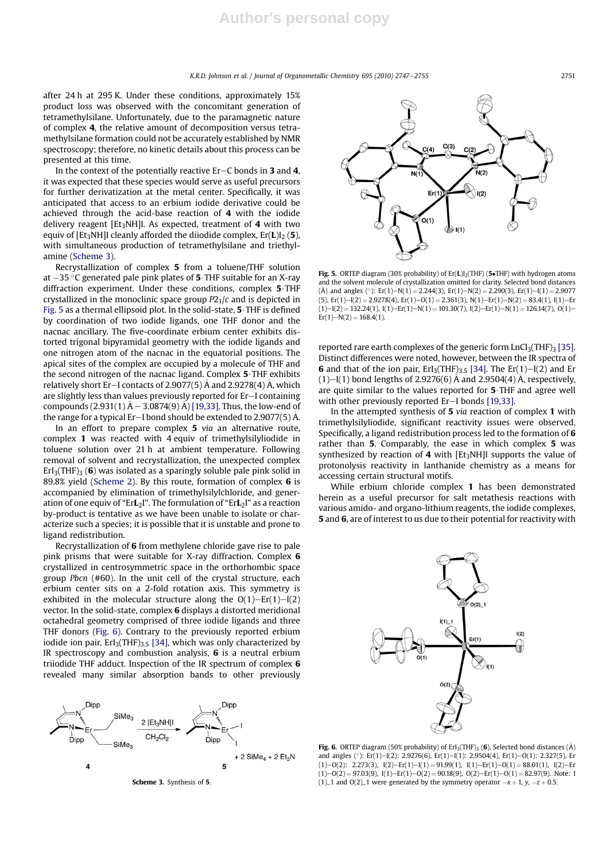after 24 h at 295 K. Under these conditions, approximately 15% product loss was observed with the concomitant generation of tetramethylsilane. Unfortunately, due to the paramagnetic nature of complex 4, the relative amount of decomposition versus tetramethylsilane formation could not be accurately established by NMR spectroscopy; therefore, no kinetic details about this process can be presented at this time.

In the context of the potentially reactive Er–C bonds in 3 and 4, it was expected that these species would serve as useful precursors for further derivatization at the metal center. Specifically, it was anticipated that access to an erbium iodide derivative could be achieved through the acid-base reaction of 4 with the iodide delivery reagent [Et<sub>3</sub>NH]I. As expected, treatment of 4 with two equiv of [Et<sub>3</sub>NH]I cleanly afforded the diiodide complex,  $Er(L)I<sub>2</sub> (5)$ , with simultaneous production of tetramethylsilane and triethylamine (Scheme 3).

Recrystallization of complex 5 from a toluene/THF solution at  $-35$  °C generated pale pink plates of 5 $\cdot$ THF suitable for an X-ray diffraction experiment. Under these conditions, complex  $5$  THF crystallized in the monoclinic space group  $P2_1/c$  and is depicted in Fig. 5 as a thermal ellipsoid plot. In the solid-state,  $5 \cdot$  THF is defined by coordination of two iodide ligands, one THF donor and the nacnac ancillary. The five-coordinate erbium center exhibits distorted trigonal bipyramidal geometry with the iodide ligands and one nitrogen atom of the nacnac in the equatorial positions. The apical sites of the complex are occupied by a molecule of THF and the second nitrogen of the nacnac ligand. Complex 5 THF exhibits relatively short Er–I contacts of 2.9077(5) Å and 2.9278(4) Å, which are slightly less than values previously reported for Er-I containing compounds (2.931(1)  $\rm \AA - 3.0874(9) \AA$  [19,33]. Thus, the low-end of the range for a typical Er–I bond should be extended to 2.9077(5) Å.

In an effort to prepare complex 5 via an alternative route, complex 1 was reacted with 4 equiv of trimethylsilyliodide in toluene solution over 21 h at ambient temperature. Following removal of solvent and recrystallization, the unexpected complex  $Eri<sub>3</sub>(THF)<sub>3</sub>(6)$  was isolated as a sparingly soluble pale pink solid in 89.8% yield (Scheme 2). By this route, formation of complex 6 is accompanied by elimination of trimethylsilylchloride, and generation of one equiv of "ErL<sub>2</sub>I". The formulation of "ErL<sub>2</sub>I" as a reaction by-product is tentative as we have been unable to isolate or characterize such a species; it is possible that it is unstable and prone to ligand redistribution.

Recrystallization of 6 from methylene chloride gave rise to pale pink prisms that were suitable for X-ray diffraction. Complex 6 crystallized in centrosymmetric space in the orthorhombic space group Pbcn (#60). In the unit cell of the crystal structure, each erbium center sits on a 2-fold rotation axis. This symmetry is exhibited in the molecular structure along the  $O(1)$ -Er(1)-I(2) vector. In the solid-state, complex 6 displays a distorted meridional octahedral geometry comprised of three iodide ligands and three THF donors (Fig. 6). Contrary to the previously reported erbium iodide ion pair,  $Eri<sub>3</sub>(THF)<sub>3.5</sub>$  [34], which was only characterized by IR spectroscopy and combustion analysis, 6 is a neutral erbium triiodide THF adduct. Inspection of the IR spectrum of complex 6 revealed many similar absorption bands to other previously



 $C(3)$  $C(4)$  $C(2)$  $N(2)$  $N(1)$ Er(  $I(2)$  $O(1)$ 

Fig. 5. ORTEP diagram (30% probability) of  $Er(L)I_2(THF)$  (5•THF) with hydrogen atoms and the solvent molecule of crystallization omitted for clarity. Selected bond distances (Å) and angles (°):  $Er(1)-N(1) = 2.244(3)$ ,  $Er(1)-N(2) = 2.290(3)$ ,  $Er(1)-I(1) = 2.9077$ (5),  $\text{Er}(1)-\text{I}(2) = 2.9278(4)$ ,  $\text{Er}(1)-\text{O}(1) = 2.361(3)$ ,  $\text{N}(1)-\text{Er}(1)-\text{N}(2) = 83.4(1)$ ,  $\text{I}(1)-\text{Er}$  $(1)$ -I(2) = 132.24(1), I(1)-Er(1)-N(1) = 101.30(7), I(2)-Er(1)-N(1) = 126.14(7), O(1)- $Er(1)-N(2) = 168.4(1).$ 

reported rare earth complexes of the generic form  $LnCl<sub>3</sub>(THF)<sub>3</sub>$  [35]. Distinct differences were noted, however, between the IR spectra of **6** and that of the ion pair,  $Eri<sub>3</sub>(THF)<sub>3,5</sub>$  [34]. The  $Eri(1)-I(2)$  and Er  $(1)$ -I(1) bond lengths of 2.9276(6) Å and 2.9504(4) Å, respectively, are quite similar to the values reported for  $5$  THF and agree well with other previously reported Er-I bonds [19,33].

In the attempted synthesis of 5 via reaction of complex 1 with trimethylsilyliodide, significant reactivity issues were observed. Specifically, a ligand redistribution process led to the formation of 6 rather than 5. Comparably, the ease in which complex 5 was synthesized by reaction of 4 with  $[Et<sub>3</sub>NH]$ I supports the value of protonolysis reactivity in lanthanide chemistry as a means for accessing certain structural motifs.

While erbium chloride complex 1 has been demonstrated herein as a useful precursor for salt metathesis reactions with various amido- and organo-lithium reagents, the iodide complexes, 5 and 6, are of interest to us due to their potential for reactivity with



Fig. 6. ORTEP diagram (50% probability) of ErI<sub>3</sub>(THF)<sub>3</sub> (6). Selected bond distances (Å) and angles (°): Er(1)-I(2): 2.9276(6), Er(1)-I(1): 2.9504(4), Er(1)-O(1): 2.327(5), Er  $(1)-O(2)$ : 2.273(3),  $I(2)-Er(1)-I(1) = 91.99(1)$ ,  $I(1)-Er(1)-O(1) = 88.01(1)$ ,  $I(2)-Er$  $(1)-O(2) = 97.03(9)$ ,  $I(1)-Er(1)-O(2) = 90.18(9)$ ,  $O(2)-Er(1)-O(1) = 82.97(9)$ . Note: I  $(1)$ \_1 and O(2)\_1 were generated by the symmetry operator  $-x+1$ , y,  $-z+0.5$ .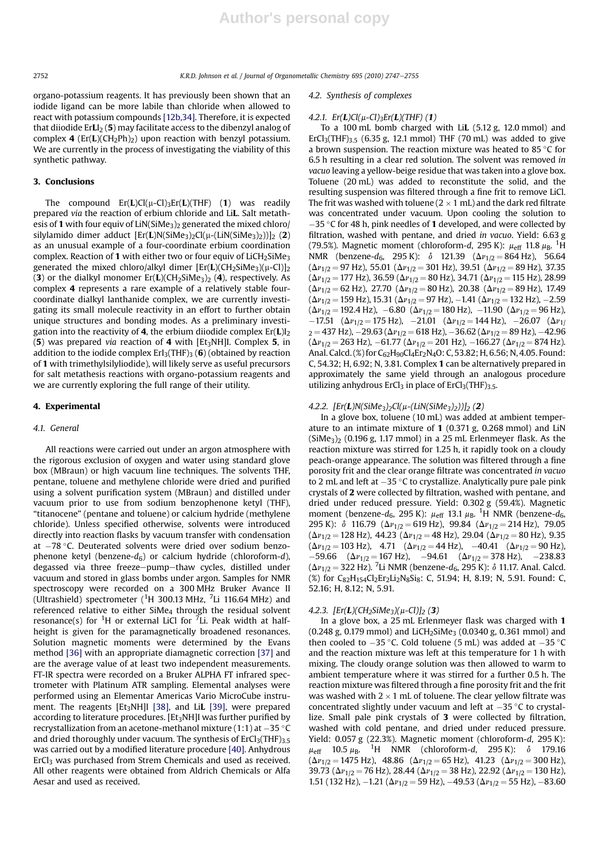organo-potassium reagents. It has previously been shown that an iodide ligand can be more labile than chloride when allowed to react with potassium compounds [12b,34]. Therefore, it is expected that diiodide  $ErL1_2$  (5) may facilitate access to the dibenzyl analog of complex  $4$  (Er(L)(CH<sub>2</sub>Ph)<sub>2</sub>) upon reaction with benzyl potassium. We are currently in the process of investigating the viability of this synthetic pathway.

# 3. Conclusions

The compound  $Er(L)Cl(\mu-Cl)_{3}Er(L)(THF)$  (1) was readily prepared via the reaction of erbium chloride and LiL. Salt metathesis of 1 with four equiv of LiN(SiMe<sub>3</sub>)<sub>2</sub> generated the mixed chloro/ silylamido dimer adduct  $[Er(L)N(SiMe<sub>3</sub>)<sub>2</sub>Cl(\mu-(LiN(SiMe<sub>3</sub>)<sub>2</sub>))]<sub>2</sub>(2)$ as an unusual example of a four-coordinate erbium coordination complex. Reaction of 1 with either two or four equiv of LiCH<sub>2</sub>SiMe<sub>3</sub> generated the mixed chloro/alkyl dimer  $[Er(L)(CH<sub>2</sub>SiMe<sub>3</sub>)(\mu-CI)]<sub>2</sub>$ (3) or the dialkyl monomer  $Er(L)(CH_2SiMe_3)_2$  (4), respectively. As complex 4 represents a rare example of a relatively stable fourcoordinate dialkyl lanthanide complex, we are currently investigating its small molecule reactivity in an effort to further obtain unique structures and bonding modes. As a preliminary investigation into the reactivity of 4, the erbium diiodide complex  $Er(L)I<sub>2</sub>$ (5) was prepared via reaction of 4 with [Et<sub>3</sub>NH]I. Complex 5, in addition to the iodide complex  $Erl_3(THF)_3$  (6) (obtained by reaction of 1 with trimethylsilyliodide), will likely serve as useful precursors for salt metathesis reactions with organo-potassium reagents and we are currently exploring the full range of their utility.

#### 4. Experimental

#### 4.1. General

All reactions were carried out under an argon atmosphere with the rigorous exclusion of oxygen and water using standard glove box (MBraun) or high vacuum line techniques. The solvents THF, pentane, toluene and methylene chloride were dried and purified using a solvent purification system (MBraun) and distilled under vacuum prior to use from sodium benzophenone ketyl (THF), "titanocene" (pentane and toluene) or calcium hydride (methylene chloride). Unless specified otherwise, solvents were introduced directly into reaction flasks by vacuum transfer with condensation at  $-78$  °C. Deuterated solvents were dried over sodium benzophenone ketyl (benzene- $d_6$ ) or calcium hydride (chloroform-d), degassed via three freeze-pump-thaw cycles, distilled under vacuum and stored in glass bombs under argon. Samples for NMR spectroscopy were recorded on a 300 MHz Bruker Avance II (Ultrashield) spectrometer (<sup>1</sup>H 300.13 MHz, <sup>7</sup>Li 116.64 MHz) and referenced relative to either SiMe4 through the residual solvent resonance(s) for  $^1$ H or external LiCl for  $^7$ Li. Peak width at halfheight is given for the paramagnetically broadened resonances. Solution magnetic moments were determined by the Evans method [36] with an appropriate diamagnetic correction [37] and are the average value of at least two independent measurements. FT-IR spectra were recorded on a Bruker ALPHA FT infrared spectrometer with Platinum ATR sampling. Elemental analyses were performed using an Elementar Americas Vario MicroCube instrument. The reagents [Et<sub>3</sub>NH]I [38], and LiL [39], were prepared according to literature procedures. [Et<sub>3</sub>NH]I was further purified by recrystallization from an acetone-methanol mixture  $(1:1)$  at  $-35$  °C and dried thoroughly under vacuum. The synthesis of  $Ercl<sub>3</sub>(THF)<sub>3.5</sub>$ was carried out by a modified literature procedure [40]. Anhydrous ErCl3 was purchased from Strem Chemicals and used as received. All other reagents were obtained from Aldrich Chemicals or Alfa Aesar and used as received.

# 4.2. Synthesis of complexes

# 4.2.1.  $Er(L)Cl(\mu-Cl)_{3}Er(L)(THF)$  (1)

To a 100 mL bomb charged with LiL (5.12 g, 12.0 mmol) and ErCl<sub>3</sub>(THF) $_{3.5}$  (6.35 g, 12.1 mmol) THF (70 mL) was added to give a brown suspension. The reaction mixture was heated to 85 $\degree$ C for 6.5 h resulting in a clear red solution. The solvent was removed in vacuo leaving a yellow-beige residue that was taken into a glove box. Toluene (20 mL) was added to reconstitute the solid, and the resulting suspension was filtered through a fine frit to remove LiCl. The frit was washed with toluene ( $2 \times 1$  mL) and the dark red filtrate was concentrated under vacuum. Upon cooling the solution to −35 °C for 48 h, pink needles of 1 developed, and were collected by filtration, washed with pentane, and dried in vacuo. Yield: 6.63 g (79.5%). Magnetic moment (chloroform-d, 295 K):  $\mu_{\rm eff}$  11.8  $\mu_{\rm B}$ . <sup>1</sup>H NMR (benzene-d<sub>6</sub>, 295 K):  $\delta$  121.39 ( $\Delta v_{1/2} = 864$  Hz), 56.64  $(\Delta v_{1/2} = 97 \text{ Hz})$ , 55.01  $(\Delta v_{1/2} = 301 \text{ Hz})$ , 39.51  $(\Delta v_{1/2} = 89 \text{ Hz})$ , 37.35  $(\Delta v_{1/2} = 177 \text{ Hz})$ , 36.59 ( $(\Delta v_{1/2} = 80 \text{ Hz})$ , 34.71 ( $(\Delta v_{1/2} = 115 \text{ Hz})$ , 28.99  $(\Delta\nu_{1/2} = 62 \text{ Hz})$ , 27.70  $(\Delta\nu_{1/2} = 80 \text{ Hz})$ , 20.38  $(\Delta\nu_{1/2} = 89 \text{ Hz})$ , 17.49  $(\Delta\nu_{1/2} = 159\ \mathrm{Hz})$ , 15.31  $(\Delta\nu_{1/2} = 97\ \mathrm{Hz})$ ,  $-1.41$   $(\Delta\nu_{1/2} = 132\ \mathrm{Hz})$ ,  $-2.59$  $(\Delta\nu_{1/2} = 192.4 \text{ Hz})$ ,  $-6.80 \ (\Delta\nu_{1/2} = 180 \text{ Hz})$ ,  $-11.90 \ (\Delta\nu_{1/2} = 96 \text{ Hz})$ ,  $-17.51 \quad (\Delta\nu_{1/2} = 175 \text{ Hz}), \quad -21.01 \quad (\Delta\nu_{1/2} = 144 \text{ Hz}), \quad -26.07 \quad (\Delta\nu_{1/2} = 144 \text{ Hz})$  $_2$  = 437 Hz), -29.63 ( $\Delta \nu_{1/2}$  = 618 Hz), -36.62 ( $\Delta \nu_{1/2}$  = 89 Hz), -42.96  $(\Delta\nu_{1/2} = 263 \text{ Hz})$ ,  $-61.77 \ (\Delta\nu_{1/2} = 201 \text{ Hz})$ ,  $-166.27 \ (\Delta\nu_{1/2} = 874 \text{ Hz})$ . Anal. Calcd. (%) for C<sub>62</sub>H<sub>90</sub>Cl<sub>4</sub>Er<sub>2</sub>N<sub>4</sub>O: C, 53.82; H, 6.56; N, 4.05. Found: C, 54.32; H, 6.92; N, 3.81. Complex 1 can be alternatively prepared in approximately the same yield through an analogous procedure utilizing anhydrous ErCl<sub>3</sub> in place of ErCl<sub>3</sub>(THF)<sub>3.5</sub>.

# 4.2.2.  $[Er(L)N(SiMe_3)_2Cl(\mu-(LiN(SiMe_3)_2))]_2$  (2)

In a glove box, toluene (10 mL) was added at ambient temperature to an intimate mixture of 1 (0.371 g, 0.268 mmol) and LiN  $(SiMe<sub>3</sub>)<sub>2</sub>$  (0.196 g, 1.17 mmol) in a 25 mL Erlenmeyer flask. As the reaction mixture was stirred for 1.25 h, it rapidly took on a cloudy peach-orange appearance. The solution was filtered through a fine porosity frit and the clear orange filtrate was concentrated in vacuo to 2 mL and left at  $-35$  °C to crystallize. Analytically pure pale pink crystals of 2 were collected by filtration, washed with pentane, and dried under reduced pressure. Yield: 0.302 g (59.4%). Magnetic moment (benzene- $d_6$ , 295 K):  $\mu_{\text{eff}}$  13.1  $\mu_{\text{B}}$ . <sup>1</sup>H NMR (benzene- $d_6$ , 295 K):  $\delta$  116.79 ( $\Delta v_{1/2} = 619$  Hz), 99.84 ( $\Delta v_{1/2} = 214$  Hz), 79.05  $(\Delta\nu_{1/2} = 128 \text{ Hz})$ , 44.23  $(\Delta\nu_{1/2} = 48 \text{ Hz})$ , 29.04  $(\Delta\nu_{1/2} = 80 \text{ Hz})$ , 9.35  $(\Delta v_{1/2} = 103 \text{ Hz})$ , 4.71  $(\Delta v_{1/2} = 44 \text{ Hz})$ , -40.41  $(\Delta v_{1/2} = 90 \text{ Hz})$ ,  $-59.66$  ( $\Delta v_{1/2} = 167$  Hz),  $-94.61$  ( $\Delta v_{1/2} = 378$  Hz),  $-238.83$  $(\Delta\nu_{1/2} = 322$  Hz). <sup>7</sup>Li NMR (benzene-d<sub>6</sub>, 295 K):  $\delta$  11.17. Anal. Calcd. (%) for  $C_{82}H_{154}C_{2}Er_{2}Li_{2}N_{8}Si_{8}$ : C, 51.94; H, 8.19; N, 5.91. Found: C, 52.16; H, 8.12; N, 5.91.

# 4.2.3.  $[Er(L)(CH_2SiMe_3)(\mu-Cl)]_2$  (3)

In a glove box, a 25 mL Erlenmeyer flask was charged with 1  $(0.248 \text{ g}, 0.179 \text{ mmol})$  and LiCH<sub>2</sub>SiMe<sub>3</sub>  $(0.0340 \text{ g}, 0.361 \text{ mmol})$  and then cooled to  $-35$  °C. Cold toluene (5 mL) was added at  $-35$  °C and the reaction mixture was left at this temperature for 1 h with mixing. The cloudy orange solution was then allowed to warm to ambient temperature where it was stirred for a further 0.5 h. The reaction mixture was filtered through a fine porosity frit and the frit was washed with  $2 \times 1$  mL of toluene. The clear yellow filtrate was concentrated slightly under vacuum and left at  $-35$  °C to crystallize. Small pale pink crystals of 3 were collected by filtration, washed with cold pentane, and dried under reduced pressure. Yield: 0.057 g (22.3%). Magnetic moment (chloroform-d, 295 K):  $\mu_{\rm eff}$  10.5  $\mu_{\rm B}$ . <sup>1</sup>H NMR (chloroform-d, 295 K):  $\delta$  179.16  $(\Delta v_{1/2} = 1475 \text{ Hz})$ , 48.86  $(\Delta v_{1/2} = 65 \text{ Hz})$ , 41.23  $(\Delta v_{1/2} = 300 \text{ Hz})$ , 39.73 ( $\Delta v_{1/2}$  = 76 Hz), 28.44 ( $\Delta v_{1/2}$  = 38 Hz), 22.92 ( $\Delta v_{1/2}$  = 130 Hz), 1.51 (132 Hz),  $-1.21$  ( $\Delta \nu_{1/2} = 59$  Hz),  $-49.53$  ( $\Delta \nu_{1/2} = 55$  Hz),  $-83.60$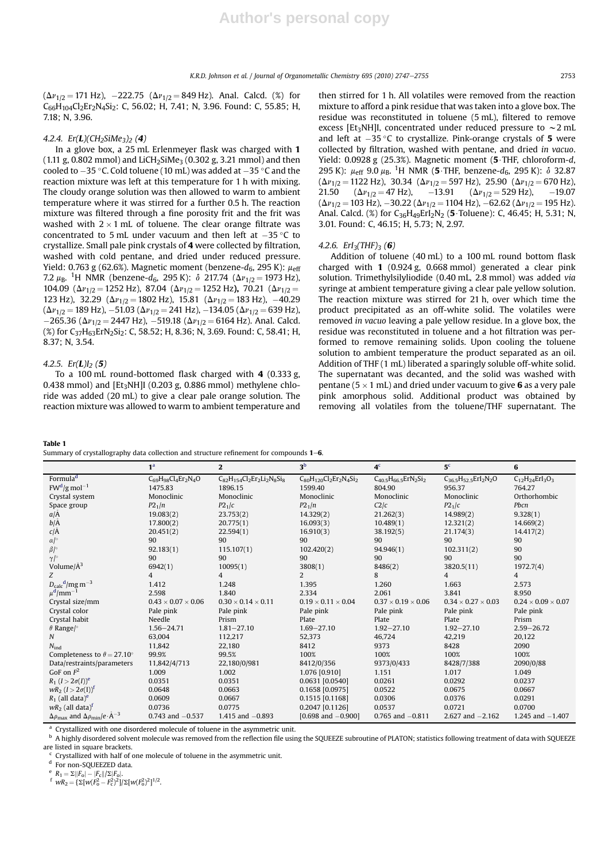$(\Delta\nu_{1/2} = 171~{\rm Hz})$ ,  $-222.75~(\Delta\nu_{1/2} = 849~{\rm Hz})$ . Anal. Calcd. (%) for  $C_{66}H_{104}Cl_2Er_2N_4Si_2$ : C, 56.02; H, 7.41; N, 3.96. Found: C, 55.85; H, 7.18; N, 3.96.

# 4.2.4.  $Er(L)(CH_2SiMe_3)_2$  (4)

In a glove box, a 25 mL Erlenmeyer flask was charged with 1  $(1.11 \text{ g}, 0.802 \text{ mmol})$  and LiCH<sub>2</sub>SiMe<sub>3</sub>  $(0.302 \text{ g}, 3.21 \text{ mmol})$  and then cooled to  $-35$  °C. Cold toluene (10 mL) was added at  $-35$  °C and the reaction mixture was left at this temperature for 1 h with mixing. The cloudy orange solution was then allowed to warm to ambient temperature where it was stirred for a further 0.5 h. The reaction mixture was filtered through a fine porosity frit and the frit was washed with  $2 \times 1$  mL of toluene. The clear orange filtrate was concentrated to 5 mL under vacuum and then left at  $-35$  °C to crystallize. Small pale pink crystals of 4 were collected by filtration, washed with cold pentane, and dried under reduced pressure. Yield: 0.763 g (62.6%). Magnetic moment (benzene- $d_6$ , 295 K):  $\mu_{eff}$ 7.2  $\mu_{\rm B}$ . <sup>1</sup>H NMR (benzene-d<sub>6</sub>, 295 K):  $\delta$  217.74 ( $\Delta v_{1/2} = 1973$  Hz), 104.09 ( $\Delta v_{1/2}$  = 1252 Hz), 87.04 ( $\Delta v_{1/2}$  = 1252 Hz), 70.21 ( $\Delta v_{1/2}$  = 123 Hz), 32.29 ( $\Delta v_{1/2} = 1802$  Hz), 15.81 ( $\Delta v_{1/2} = 183$  Hz), -40.29  $(\Delta\nu_{1/2} = 189\ \mathrm{Hz})$ ,  $-51.03\ (\Delta\nu_{1/2} = 241\ \mathrm{Hz})$ ,  $-134.05\ (\Delta\nu_{1/2} = 639\ \mathrm{Hz})$ ,  $-265.36 \; (\Delta\nu_{1/2} = 2447 \; \text{Hz})$ ,  $-519.18 \; (\Delta\nu_{1/2} = 6164 \; \text{Hz})$ . Anal. Calcd. (%) for C37H63ErN2Si2: C, 58.52; H, 8.36; N, 3.69. Found: C, 58.41; H, 8.37; N, 3.54.

# 4.2.5.  $Er(L)I_2(5)$

To a 100 mL round-bottomed flask charged with 4 (0.333 g, 0.438 mmol) and [Et<sub>3</sub>NH]I (0.203 g, 0.886 mmol) methylene chloride was added (20 mL) to give a clear pale orange solution. The reaction mixture was allowed to warm to ambient temperature and then stirred for 1 h. All volatiles were removed from the reaction mixture to afford a pink residue that was taken into a glove box. The residue was reconstituted in toluene (5 mL), filtered to remove excess [Et<sub>3</sub>NH]I, concentrated under reduced pressure to  $\sim$  2 mL and left at  $-35$  °C to crystallize. Pink-orange crystals of **5** were collected by filtration, washed with pentane, and dried in vacuo. Yield:  $0.0928$  g (25.3%). Magnetic moment (5 $\cdot$ THF, chloroform-d, 295 K):  $\mu_{\text{eff}}$  9.0  $\mu_{\text{B}}$ . <sup>1</sup>H NMR (5 THF, benzene-d<sub>6</sub>, 295 K):  $\delta$  32.87  $(\Delta v_{1/2} = 1122 \text{ Hz})$ , 30.34  $(\Delta v_{1/2} = 597 \text{ Hz})$ , 25.90  $(\Delta v_{1/2} = 670 \text{ Hz})$ ,<br>21.50  $(\Delta v_{1/2} = 47 \text{ Hz})$ , -13.91  $(\Delta v_{1/2} = 529 \text{ Hz})$ , -19.07  $(\Delta v_{1/2} = 47 \text{ Hz})$ ,  $(\Delta v_{1/2} = 529 \text{ Hz})$ , -19.07  $(\Delta \nu_{1/2} = 103 \text{ Hz})$ ,  $-30.22 (\Delta \nu_{1/2} = 1104 \text{ Hz})$ ,  $-62.62 (\Delta \nu_{1/2} = 195 \text{ Hz})$ . Anal. Calcd. (%) for  $C_{36}H_{49}Eri_2N_2$  (5 Toluene): C, 46.45; H, 5.31; N, 3.01. Found: C, 46.15; H, 5.73; N, 2.97.

#### 4.2.6.  $Erl<sub>3</sub>(THF)<sub>3</sub>(6)$

Addition of toluene (40 mL) to a 100 mL round bottom flask charged with 1 (0.924 g, 0.668 mmol) generated a clear pink solution. Trimethylsilyliodide (0.40 mL, 2.8 mmol) was added via syringe at ambient temperature giving a clear pale yellow solution. The reaction mixture was stirred for 21 h, over which time the product precipitated as an off-white solid. The volatiles were removed in vacuo leaving a pale yellow residue. In a glove box, the residue was reconstituted in toluene and a hot filtration was performed to remove remaining solids. Upon cooling the toluene solution to ambient temperature the product separated as an oil. Addition of THF (1 mL) liberated a sparingly soluble off-white solid. The supernatant was decanted, and the solid was washed with pentane ( $5 \times 1$  mL) and dried under vacuum to give 6 as a very pale pink amorphous solid. Additional product was obtained by removing all volatiles from the toluene/THF supernatant. The

#### Table 1

|  |  | Summary of crystallography data collection and structure refinement for compounds $1\text{--}6$ . |
|--|--|---------------------------------------------------------------------------------------------------|
|--|--|---------------------------------------------------------------------------------------------------|

|                                                                                   | 1 <sup>a</sup>                 | $\mathbf{2}$                       | 3 <sup>b</sup>                 | 4 <sup>c</sup>                 | 5 <sup>c</sup>                 | 6                              |
|-----------------------------------------------------------------------------------|--------------------------------|------------------------------------|--------------------------------|--------------------------------|--------------------------------|--------------------------------|
| Formula <sup>d</sup>                                                              | $C_{69}H_{98}Cl_4Er_2N_4O$     | $C_{82}H_{154}Cl_2Er_2Li_2N_8Si_8$ | $C_{80}H_{120}Cl_2Er_2N_4Si_2$ | $C_{40.5}H_{66.5}ErN_2Si_2$    | $C_{36.5}H_{52.5}ErI_2N_2O$    | $C_{12}H_{24}Erl_3O_3$         |
| $FWd/g$ mol <sup>-1</sup>                                                         | 1475.83                        | 1896.15                            | 1599.40                        | 804.90                         | 956.37                         | 764.27                         |
| Crystal system                                                                    | Monoclinic                     | Monoclinic                         | Monoclinic                     | Monoclinic                     | Monoclinic                     | Orthorhombic                   |
| Space group                                                                       | P2 <sub>1</sub> /n             | $P2_1/c$                           | $P2_1/n$                       | C2/c                           | P2 <sub>1</sub> /c             | Pbcn                           |
| $a/\overline{A}$                                                                  | 19.083(2)                      | 23.753(2)                          | 14.329(2)                      | 21.262(3)                      | 14.989(2)                      | 9.328(1)                       |
| $b/\AA$                                                                           | 17,800(2)                      | 20.775(1)                          | 16.093(3)                      | 10.489(1)                      | 12.321(2)                      | 14,669(2)                      |
| $c/\tilde{A}$                                                                     | 20.451(2)                      | 22.594(1)                          | 16.910(3)                      | 38.192(5)                      | 21.174(3)                      | 14.417(2)                      |
| $\alpha$ /°                                                                       | 90                             | 90                                 | 90                             | 90                             | 90                             | 90                             |
| $\beta$ /°                                                                        | 92,183(1)                      | 115.107(1)                         | 102.420(2)                     | 94.946(1)                      | 102.311(2)                     | 90                             |
| $\gamma$ /°                                                                       | 90                             | 90                                 | 90                             | 90                             | 90                             | 90                             |
| Volume/ $A^3$                                                                     | 6942(1)                        | 10095(1)                           | 3808(1)                        | 8486(2)                        | 3820.5(11)                     | 1972.7(4)                      |
| Z                                                                                 | $\overline{4}$                 | $\overline{4}$                     | 2                              | 8                              | $\overline{4}$                 | $\overline{4}$                 |
| $D_{\rm calc}$ <sup>d</sup> /mg m <sup>-3</sup>                                   | 1.412                          | 1.248                              | 1.395                          | 1.260                          | 1.663                          | 2.573                          |
| $\mu$ <sup>d</sup> /mm <sup>-1</sup>                                              | 2.598                          | 1.840                              | 2.334                          | 2.061                          | 3.841                          | 8.950                          |
| Crystal size/mm                                                                   | $0.43 \times 0.07 \times 0.06$ | $0.30 \times 0.14 \times 0.11$     | $0.19 \times 0.11 \times 0.04$ | $0.37 \times 0.19 \times 0.06$ | $0.34 \times 0.27 \times 0.03$ | $0.24 \times 0.09 \times 0.07$ |
| Crystal color                                                                     | Pale pink                      | Pale pink                          | Pale pink                      | Pale pink                      | Pale pink                      | Pale pink                      |
| Crystal habit                                                                     | Needle                         | Prism                              | Plate                          | Plate                          | Plate                          | Prism                          |
| $\theta$ Range/ $\circ$                                                           | $1.56 - 24.71$                 | $1.81 - 27.10$                     | $1.69 - 27.10$                 | $1.92 - 27.10$                 | $1.92 - 27.10$                 | $2.59 - 26.72$                 |
| N                                                                                 | 63.004                         | 112,217                            | 52,373                         | 46,724                         | 42,219                         | 20,122                         |
| $N_{\text{ind}}$                                                                  | 11,842                         | 22,180                             | 8412                           | 9373                           | 8428                           | 2090                           |
| Completeness to $\theta = 27.10^{\circ}$                                          | 99.9%                          | 99.5%                              | 100%                           | 100%                           | 100%                           | 100%                           |
| Data/restraints/parameters                                                        | 11,842/4/713                   | 22,180/0/981                       | 8412/0/356                     | 9373/0/433                     | 8428/7/388                     | 2090/0/88                      |
| GoF on $F^2$                                                                      | 1.009                          | 1.002                              | 1.076 [0.910]                  | 1.151                          | 1.017                          | 1.049                          |
| $R_1 (I > 2\sigma(I))^e$                                                          | 0.0351                         | 0.0351                             | 0.0631 [0.0540]                | 0.0261                         | 0.0292                         | 0.0237                         |
| $wR_2 (I > 2\sigma(I))^t$                                                         | 0.0648                         | 0.0663                             | 0.1658 [0.0975]                | 0.0522                         | 0.0675                         | 0.0667                         |
| $R_1$ (all data) <sup>e</sup>                                                     | 0.0609                         | 0.0667                             | 0.1515 [0.1168]                | 0.0306                         | 0.0376                         | 0.0291                         |
| $wR_2$ (all data) <sup>f</sup>                                                    | 0.0736                         | 0.0775                             | 0.2047 [0.1126]                | 0.0537                         | 0.0721                         | 0.0700                         |
| $\Delta \rho_{\text{max}}$ and $\Delta \rho_{\text{min}}/e \cdot \text{\AA}^{-3}$ | $0.743$ and $-0.537$           | 1.415 and $-0.893$                 | $[0.698$ and $-0.900]$         | $0.765$ and $-0.811$           | 2.627 and $-2.162$             | 1.245 and $-1.407$             |

Crystallized with one disordered molecule of toluene in the asymmetric unit.

b A highly disordered solvent molecule was removed from the reflection file using the SQUEEZE subroutine of PLATON; statistics following treatment of data with SQUEEZE are listed in square brackets.

Crystallized with half of one molecule of toluene in the asymmetric unit.

<sup>d</sup> For non-SQUEEZED data.

 $R_1 = \sum ||F_o| - |F_c||/\sum |F_o|$ .

<sup>e</sup>  $R_1 = \sum ||F_0| - |F_c||/\sum |F_0|$ .<br>f  $wR_2 = {\sum [w(F_0^2 - F_c^2)^2]}/{\sum [w(F_0^2)^2]^{1/2}}$ .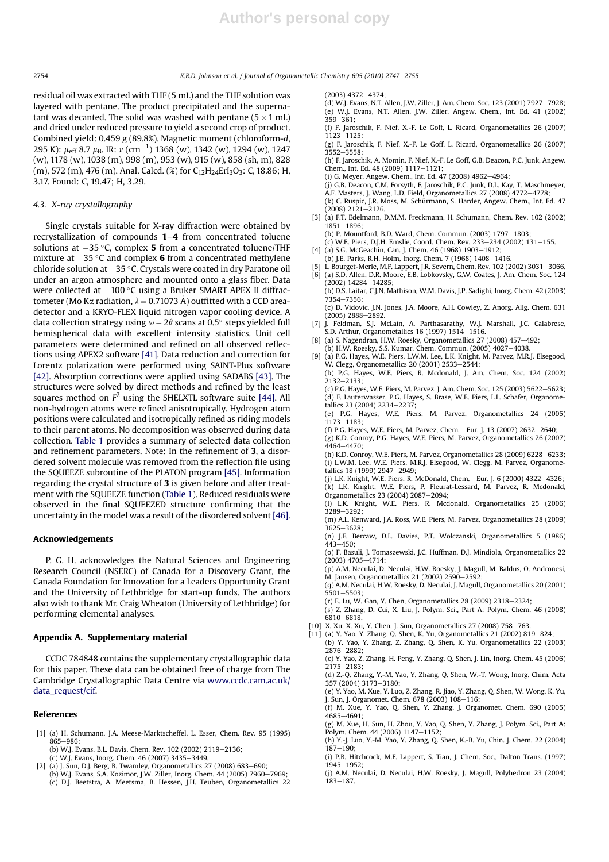2754 K.R.D. Johnson et al. / Journal of Organometallic Chemistry 695 (2010) 2747e2755

residual oil was extracted with THF (5 mL) and the THF solution was layered with pentane. The product precipitated and the supernatant was decanted. The solid was washed with pentane ( $5 \times 1$  mL) and dried under reduced pressure to yield a second crop of product. Combined yield: 0.459 g (89.8%). Magnetic moment (chloroform-d, 295 K):  $\mu_{\rm eff}$  8.7  $\mu_{\rm B}$ . IR:  $\nu$  (cm<sup>-1</sup>) 1368 (w), 1342 (w), 1294 (w), 1247 (w), 1178 (w), 1038 (m), 998 (m), 953 (w), 915 (w), 858 (sh, m), 828 (m), 572 (m), 476 (m). Anal. Calcd. (%) for C<sub>12</sub>H<sub>24</sub>ErI<sub>3</sub>O<sub>3</sub>: C, 18.86; H, 3.17. Found: C, 19.47; H, 3.29.

# 4.3. X-ray crystallography

Single crystals suitable for X-ray diffraction were obtained by recrystallization of compounds  $1-4$  from concentrated toluene solutions at  $-35$  °C, complex **5** from a concentrated toluene/THF mixture at  $-35$  °C and complex **6** from a concentrated methylene chloride solution at  $-35$  °C. Crystals were coated in dry Paratone oil under an argon atmosphere and mounted onto a glass fiber. Data were collected at  $-100\,^{\circ}$ C using a Bruker SMART APEX II diffractometer (Mo K $\alpha$  radiation,  $\lambda = 0.71073$  Å) outfitted with a CCD areadetector and a KRYO-FLEX liquid nitrogen vapor cooling device. A data collection strategy using  $\omega - 2\theta$  scans at 0.5° steps yielded full hemispherical data with excellent intensity statistics. Unit cell parameters were determined and refined on all observed reflections using APEX2 software [41]. Data reduction and correction for Lorentz polarization were performed using SAINT-Plus software [42]. Absorption corrections were applied using SADABS [43]. The structures were solved by direct methods and refined by the least squares method on  $F^2$  using the SHELXTL software suite [44]. All non-hydrogen atoms were refined anisotropically. Hydrogen atom positions were calculated and isotropically refined as riding models to their parent atoms. No decomposition was observed during data collection. Table 1 provides a summary of selected data collection and refinement parameters. Note: In the refinement of 3, a disordered solvent molecule was removed from the reflection file using the SQUEEZE subroutine of the PLATON program [45]. Information regarding the crystal structure of 3 is given before and after treatment with the SQUEEZE function (Table 1). Reduced residuals were observed in the final SQUEEZED structure confirming that the uncertainty in the model was a result of the disordered solvent [46].

#### Acknowledgements

P. G. H. acknowledges the Natural Sciences and Engineering Research Council (NSERC) of Canada for a Discovery Grant, the Canada Foundation for Innovation for a Leaders Opportunity Grant and the University of Lethbridge for start-up funds. The authors also wish to thank Mr. Craig Wheaton (University of Lethbridge) for performing elemental analyses.

# Appendix A. Supplementary material

CCDC 784848 contains the supplementary crystallographic data for this paper. These data can be obtained free of charge from The Cambridge Crystallographic Data Centre via www.ccdc.cam.ac.uk/ data\_request/cif.

### References

- [1] (a) H. Schumann, J.A. Meese-Marktscheffel, L. Esser, Chem. Rev. 95 (1995)  $865 - 986$
- (b) W.J. Evans, B.L. Davis, Chem. Rev. 102 (2002) 2119-2136;
- $(c)$  W.J. Evans, Inorg. Chem. 46 (2007) 3435-3449.
- [2] (a) J. Sun, D.J. Berg, B. Twamley, Organometallics 27 (2008) 683-690; (b) W.J. Evans, S.A. Kozimor, J.W. Ziller, Inorg. Chem. 44 (2005) 7960-7969; (c) D.J. Beetstra, A. Meetsma, B. Hessen, J.H. Teuben, Organometallics 22

 $(2003)$  4372-4374;

- (d) W.J. Evans, N.T. Allen, J.W. Ziller, J. Am. Chem. Soc. 123 (2001) 7927-7928; (e) W.J. Evans, N.T. Allen, J.W. Ziller, Angew. Chem., Int. Ed. 41 (2002)  $359 - 361$
- (f) F. Jaroschik, F. Nief, X.-F. Le Goff, L. Ricard, Organometallics 26 (2007)  $1123 - 1125$
- (g) F. Jaroschik, F. Nief, X.-F. Le Goff, L. Ricard, Organometallics 26 (2007)  $3552 - 3558$

(h) F. Jaroschik, A. Momin, F. Nief, X.-F. Le Goff, G.B. Deacon, P.C. Junk, Angew. Chem., Int. Ed. 48 (2009) 1117-1121;

- (i) G. Meyer, Angew. Chem., Int. Ed. 47 (2008) 4962-4964;
- (j) G.B. Deacon, C.M. Forsyth, F. Jaroschik, P.C. Junk, D.L. Kay, T. Maschmeyer,<br>A.F. Masters, J. Wang, L.D. Field, Organometallics 27 (2008) 4772—4778;
- (k) C. Ruspic, J.R. Moss, M. Schürmann, S. Harder, Angew. Chem., Int. Ed. 47  $(2008)$  2121-2126.
- [3] (a) F.T. Edelmann, D.M.M. Freckmann, H. Schumann, Chem. Rev. 102 (2002)  $1851 - 1896$ 
	- (b) P. Mountford, B.D. Ward, Chem. Commun. (2003) 1797-1803;
- (c) W.E. Piers, D.J.H. Emslie, Coord. Chem. Rev. 233–234 (2002) 131–155.<br>[4] (a) S.G. McGeachin, Can. J. Chem. 46 (1968) 1903–1912;
- (b) J.E. Parks, R.H. Holm, Inorg. Chem. 7 (1968) 1408-1416.
- L. Bourget-Merle, M.F. Lappert, J.R. Severn, Chem. Rev. 102 (2002) 3031-3066.
- [6] (a) S.D. Allen, D.R. Moore, E.B. Lobkovsky, G.W. Coates, J. Am. Chem. Soc. 124 (2002) 14284–14285;<br>(b) D.S. Laitar, C.J.N. Mathison, W.M. Davis, J.P. Sadighi, Inorg. Chem. 42 (2003)
	- 7354-7356; (c) D. Vidovic, J.N. Jones, J.A. Moore, A.H. Cowley, Z. Anorg. Allg. Chem. 631
	- $(2005)$  2888-2892
- [7] J. Feldman, S.J. McLain, A. Parthasarathy, W.J. Marshall, J.C. Calabrese, S.D. Arthur, Organometallics 16 (1997) 1514e1516.
- [8] (a) S. Nagendran, H.W. Roesky, Organometallics  $27$  (2008) 457-492;
- (b) H.W. Roesky, S.S. Kumar, Chem. Commun. (2005) 4027–4038. [9] (a) P.G. Hayes, W.E. Piers, L.W.M. Lee, L.K. Knight, M. Parvez, M.R.J. Elsegood, W. Clegg, Organometallics 20 (2001) 2533-2544;
	- (b) P.G. Hayes, W.E. Piers, R. Mcdonald, J. Am. Chem. Soc. 124 (2002) 2132-2133;
	- $(c)$  P.G. Hayes, W.E. Piers, M. Parvez, J. Am. Chem. Soc. 125 (2003) 5622-5623; (d) F. Lauterwasser, P.G. Hayes, S. Brase, W.E. Piers, L.L. Schafer, Organometallics 23 (2004) 2234–2237;<br>(e) P.G. Haves. W.E. Pier
	- Hayes, W.E. Piers, M. Parvez, Organometallics 24 (2005) 1173-1183;
	- (f) P.G. Hayes, W.E. Piers, M. Parvez, Chem.-Eur. J. 13 (2007) 2632-2640; (g) K.D. Conroy, P.G. Hayes, W.E. Piers, M. Parvez, Organometallics 26 (2007)  $4464 - 4470$
	- (h) K.D. Conroy, W.E. Piers, M. Parvez, Organometallics  $28$  (2009) 6228-6233; (i) L.W.M. Lee, W.E. Piers, M.R.J. Elsegood, W. Clegg, M. Parvez, Organometallics 18 (1999) 2947-2949;
	- (j) L.K. Knight, W.E. Piers, R. McDonald, Chem.—Eur. J. 6 (2000) 4322-4326; (k) L.K. Knight, W.E. Piers, P. Fleurat-Lessard, M. Parvez, R. Mcdonald, Organometallics 23 (2004) 2087-2094;
	- (l) L.K. Knight, W.E. Piers, R. Mcdonald, Organometallics 25 (2006)  $3289 - 3292$
	- (m) A.L. Kenward, J.A. Ross, W.E. Piers, M. Parvez, Organometallics 28 (2009) 3625-3628;
	- (n) J.E. Bercaw, D.L. Davies, P.T. Wolczanski, Organometallics 5 (1986)  $443 - 450$
	- (o) F. Basuli, J. Tomaszewski, J.C. Huffman, D.J. Mindiola, Organometallics 22  $(2003)$  4705 $-4714$ ;
	- (p) A.M. Neculai, D. Neculai, H.W. Roesky, J. Magull, M. Baldus, O. Andronesi, M. Jansen, Organometallics 21 (2002) 2590–2592;
	- (q) A.M. Neculai, H.W. Roesky, D. Neculai, J. Magull, Organometallics 20 (2001)  $5501 - 5503$
	- (r) E. Lu, W. Gan, Y. Chen, Organometallics 28 (2009) 2318-2324;
	- (s) Z. Zhang, D. Cui, X. Liu, J. Polym. Sci., Part A: Polym. Chem. 46 (2008)
	- $6810 6818$ .
- [10] X. Xu, X. Xu, Y. Chen, J. Sun, Organometallics 27 (2008) 758-763.
- $\overline{111}$  (a) Y. Yao, Y. Zhang, Q. Shen, K. Yu, Organometallics 21 (2002) 819-824; (b) Y. Yao, Y. Zhang, Z. Zhang, Q. Shen, K. Yu, Organometallics 22 (2003)
	- 2876-2882 (c) Y. Yao, Z. Zhang, H. Peng, Y. Zhang, Q. Shen, J. Lin, Inorg. Chem. 45 (2006)
	- $2175 2183$ ; (d) Z.-Q. Zhang, Y.-M. Yao, Y. Zhang, Q. Shen, W.-T. Wong, Inorg. Chim. Acta
	- 357 (2004) 3173-3180; (e) Y. Yao, M. Xue, Y. Luo, Z. Zhang, R. Jiao, Y. Zhang, Q. Shen, W. Wong, K. Yu,
	- J. Sun, J. Organomet. Chem. 678 (2003) 108-116; (f) M. Xue, Y. Yao, Q. Shen, Y. Zhang, J. Organomet. Chem. 690 (2005)<br>4685–4691;
	- (g) M. Xue, H. Sun, H. Zhou, Y. Yao, Q. Shen, Y. Zhang, J. Polym. Sci., Part A: Polym. Chem. 44 (2006) 1147-1152;
	- (h) Y.-J. Luo, Y.-M. Yao, Y. Zhang, Q. Shen, K.-B. Yu, Chin. J. Chem. 22 (2004)  $187 - 190$
	- (i) P.B. Hitchcock, M.F. Lappert, S. Tian, J. Chem. Soc., Dalton Trans. (1997) 1945-1952;
	- (j) A.M. Neculai, D. Neculai, H.W. Roesky, J. Magull, Polyhedron 23 (2004) 183e187.